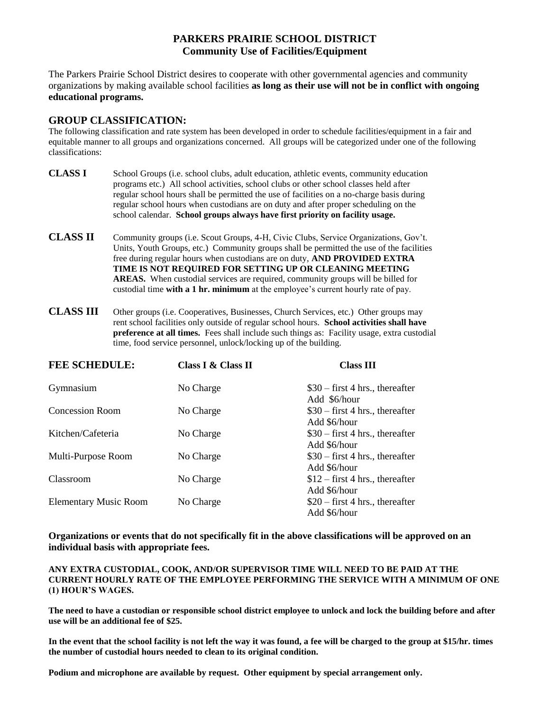## **PARKERS PRAIRIE SCHOOL DISTRICT Community Use of Facilities/Equipment**

The Parkers Prairie School District desires to cooperate with other governmental agencies and community organizations by making available school facilities **as long as their use will not be in conflict with ongoing educational programs.**

### **GROUP CLASSIFICATION:**

The following classification and rate system has been developed in order to schedule facilities/equipment in a fair and equitable manner to all groups and organizations concerned. All groups will be categorized under one of the following classifications:

- **CLASS I** School Groups (i.e. school clubs, adult education, athletic events, community education programs etc.) All school activities, school clubs or other school classes held after regular school hours shall be permitted the use of facilities on a no-charge basis during regular school hours when custodians are on duty and after proper scheduling on the school calendar. **School groups always have first priority on facility usage.**
- **CLASS II** Community groups (i.e. Scout Groups, 4-H, Civic Clubs, Service Organizations, Gov't. Units, Youth Groups, etc.) Community groups shall be permitted the use of the facilities free during regular hours when custodians are on duty, **AND PROVIDED EXTRA TIME IS NOT REQUIRED FOR SETTING UP OR CLEANING MEETING AREAS.** When custodial services are required, community groups will be billed for custodial time **with a 1 hr. minimum** at the employee's current hourly rate of pay.
- **CLASS III** Other groups (i.e. Cooperatives, Businesses, Church Services, etc.) Other groups may rent school facilities only outside of regular school hours. **School activities shall have preference at all times.** Fees shall include such things as: Facility usage, extra custodial time, food service personnel, unlock/locking up of the building.

| <b>FEE SCHEDULE:</b>         | Class I & Class II | <b>Class III</b>                                                 |
|------------------------------|--------------------|------------------------------------------------------------------|
| Gymnasium                    | No Charge          | $$30 - first 4 hrs.$ , thereafter                                |
| <b>Concession Room</b>       | No Charge          | Add \$6/hour<br>$$30 - first 4 hrs.$ , thereafter                |
| Kitchen/Cafeteria            | No Charge          | Add \$6/hour<br>$$30$ – first 4 hrs., thereafter                 |
| Multi-Purpose Room           | No Charge          | Add \$6/hour<br>$$30 - first 4 hrs.$ , thereafter                |
| Classroom                    | No Charge          | Add \$6/hour<br>$$12$ – first 4 hrs., thereafter                 |
| <b>Elementary Music Room</b> | No Charge          | Add \$6/hour<br>$$20$ – first 4 hrs., thereafter<br>Add \$6/hour |

**Organizations or events that do not specifically fit in the above classifications will be approved on an individual basis with appropriate fees.**

**ANY EXTRA CUSTODIAL, COOK, AND/OR SUPERVISOR TIME WILL NEED TO BE PAID AT THE CURRENT HOURLY RATE OF THE EMPLOYEE PERFORMING THE SERVICE WITH A MINIMUM OF ONE (1) HOUR'S WAGES.**

**The need to have a custodian or responsible school district employee to unlock and lock the building before and after use will be an additional fee of \$25.** 

**In the event that the school facility is not left the way it was found, a fee will be charged to the group at \$15/hr. times the number of custodial hours needed to clean to its original condition.**

**Podium and microphone are available by request. Other equipment by special arrangement only.**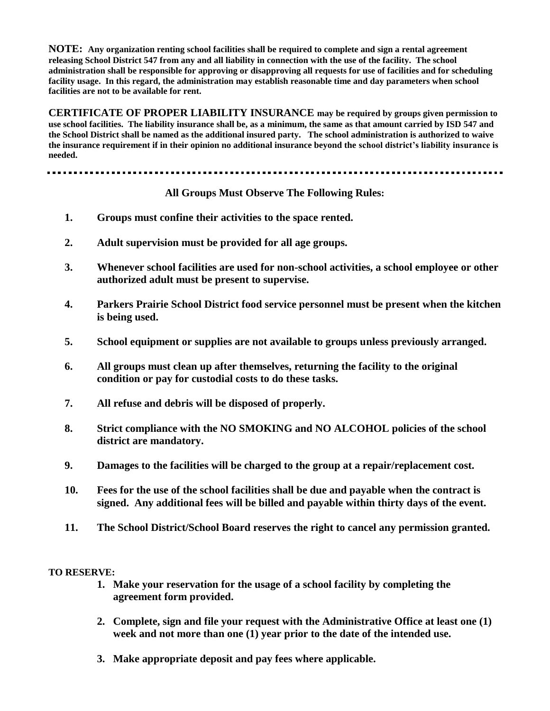**NOTE: Any organization renting school facilities shall be required to complete and sign a rental agreement releasing School District 547 from any and all liability in connection with the use of the facility. The school administration shall be responsible for approving or disapproving all requests for use of facilities and for scheduling facility usage. In this regard, the administration may establish reasonable time and day parameters when school facilities are not to be available for rent.**

**CERTIFICATE OF PROPER LIABILITY INSURANCE may be required by groups given permission to use school facilities. The liability insurance shall be, as a minimum, the same as that amount carried by ISD 547 and the School District shall be named as the additional insured party. The school administration is authorized to waive the insurance requirement if in their opinion no additional insurance beyond the school district's liability insurance is needed.**

#### ------------

### **All Groups Must Observe The Following Rules:**

- **1. Groups must confine their activities to the space rented.**
- **2. Adult supervision must be provided for all age groups.**
- **3. Whenever school facilities are used for non-school activities, a school employee or other authorized adult must be present to supervise.**
- **4. Parkers Prairie School District food service personnel must be present when the kitchen is being used.**
- **5. School equipment or supplies are not available to groups unless previously arranged.**
- **6. All groups must clean up after themselves, returning the facility to the original condition or pay for custodial costs to do these tasks.**
- **7. All refuse and debris will be disposed of properly.**
- **8. Strict compliance with the NO SMOKING and NO ALCOHOL policies of the school district are mandatory.**
- **9. Damages to the facilities will be charged to the group at a repair/replacement cost.**
- **10. Fees for the use of the school facilities shall be due and payable when the contract is signed. Any additional fees will be billed and payable within thirty days of the event.**
- **11. The School District/School Board reserves the right to cancel any permission granted.**

#### **TO RESERVE:**

- **1. Make your reservation for the usage of a school facility by completing the agreement form provided.**
- **2. Complete, sign and file your request with the Administrative Office at least one (1) week and not more than one (1) year prior to the date of the intended use.**
- **3. Make appropriate deposit and pay fees where applicable.**